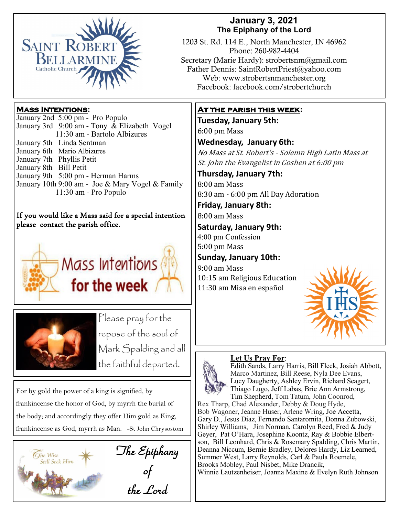

# **January 3, 2021 The Epiphany of the Lord**

1203 St. Rd. 114 E., North Manchester, IN 46962 Phone: 260-982-4404 Secretary (Marie Hardy): strobertsnm@gmail.com Father Dennis: SaintRobertPriest@yahoo.com Web: www.strobertsnmanchester.org Facebook: facebook.com/strobertchurch

# **Mass Intentions:**

January 2nd 5:00 pm - Pro Populo January 3rd 9:00 am - Tony & Elizabeth Vogel 11:30 am - Bartolo Albizures January 5th Linda Sentman January 6th Mario Albizures January 7th Phyllis Petit January 8th Bill Petit January 9th 5:00 pm - Herman Harms January 10th 9:00 am - Joe & Mary Vogel & Family 11:30 am - Pro Populo

#### If you would like a Mass said for a special intention please contact the parish office.





Please pray for the repose of the soul of Mark Spalding and all the faithful departed.

For by gold the power of a king is signified, by frankincense the honor of God, by myrrh the burial of the body; and accordingly they offer Him gold as King, frankincense as God, myrrh as Man. -St John Chrysostom



The Epiphany of

the Lord

# **At the parish this week:**

**Tuesday, January 5th:**  6:00 pm Mass

**Wednesday, January 6th:**

No Mass at St. Robert's - Solemn High Latin Mass at St. John the Evangelist in Goshen at 6:00 pm

**Thursday, January 7th:**

8:00 am Mass 8:30 am - 6:00 pm All Day Adoration

**Friday, January 8th:**  8:00 am Mass

**Saturday, January 9th:**

4:00 pm Confession 5:00 pm Mass

**Sunday, January 10th:**

9:00 am Mass 10:15 am Religious Education 11:30 am Misa en español



# **Let Us Pray For**:



Edith Sands, Larry Harris, Bill Fleck, Josiah Abbott, Marco Martinez, Bill Reese, Nyla Dee Evans, Lucy Daugherty, Ashley Ervin, Richard Seagert, Thiago Lugo, Jeff Labas, Brie Ann Armstrong, Tim Shepherd, Tom Tatum, John Coonrod,

Rex Tharp, Chad Alexander, Debby & Doug Hyde, Bob Wagoner, Jeanne Huser, Arlene Wring, Joe Accetta, Gary D., Jesus Diaz, Fernando Santaromita, Donna Zubowski, Shirley Williams, Jim Norman, Carolyn Reed, Fred & Judy Geyer, Pat O'Hara, Josephine Koontz, Ray & Bobbie Elbertson, Bill Leonhard, Chris & Rosemary Spalding, Chris Martin, Deanna Niccum, Bernie Bradley, Delores Hardy, Liz Learned, Summer West, Larry Reynolds, Carl & Paula Roemele, Brooks Mobley, Paul Nisbet, Mike Drancik, Winnie Lautzenheiser, Joanna Maxine & Evelyn Ruth Johnson